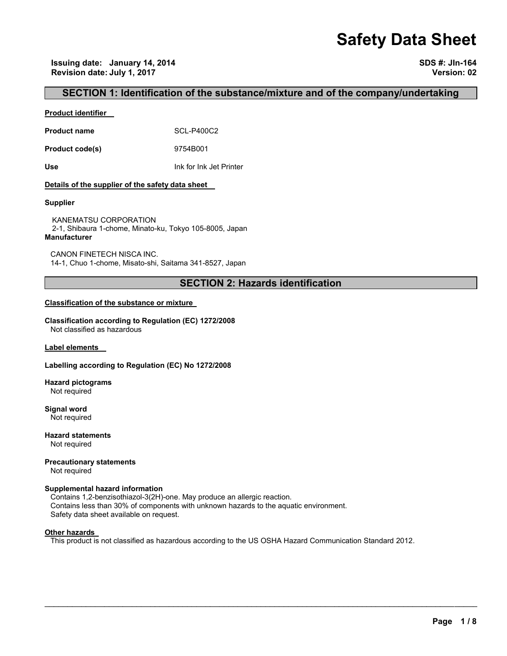# **Safety Data Sheet**

**Issuing date: January 14, 2014 SDS #: JIn-164 Revision date: July 1, 2017 Version: 02** 

## **SECTION 1: Identification of the substance/mixture and of the company/undertaking**

## **Product identifier**

**Product name** SCL-P400C2

**Product code(s)** 9754B001

**Use** Ink for Ink Jet Printer

## **Details of the supplier of the safety data sheet**

### **Supplier**

KANEMATSU CORPORATION 2-1, Shibaura 1-chome, Minato-ku, Tokyo 105-8005, Japan **Manufacturer**

CANON FINETECH NISCA INC. 14-1, Chuo 1-chome, Misato-shi, Saitama 341-8527, Japan

## **SECTION 2: Hazards identification**

## **Classification of the substance or mixture**

**Classification according to Regulation (EC) 1272/2008** Not classified as hazardous

**Label elements** 

## **Labelling according to Regulation (EC) No 1272/2008**

**Hazard pictograms** Not required

**Signal word** Not required

**Hazard statements** Not required

**Precautionary statements**  Not required

## **Supplemental hazard information**

Contains 1,2-benzisothiazol-3(2H)-one. May produce an allergic reaction. Contains less than 30% of components with unknown hazards to the aquatic environment. Safety data sheet available on request.

#### **Other hazards**

This product is not classified as hazardous according to the US OSHA Hazard Communication Standard 2012.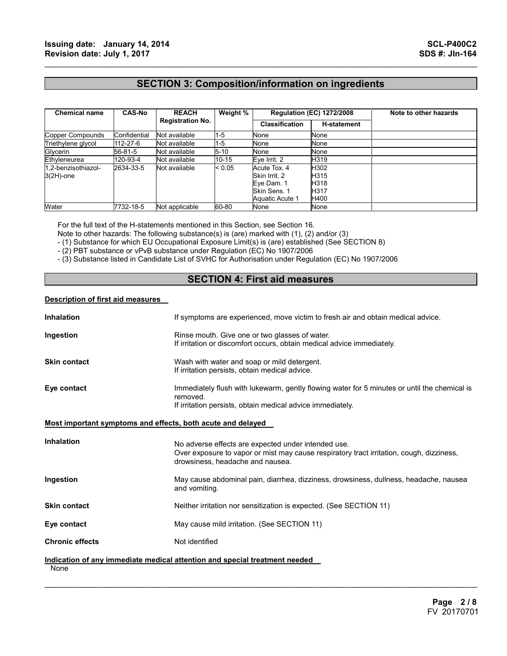## **SECTION 3: Composition/information on ingredients**

 $\mathcal{L}_\mathcal{L} = \{ \mathcal{L}_\mathcal{L} = \{ \mathcal{L}_\mathcal{L} = \{ \mathcal{L}_\mathcal{L} = \{ \mathcal{L}_\mathcal{L} = \{ \mathcal{L}_\mathcal{L} = \{ \mathcal{L}_\mathcal{L} = \{ \mathcal{L}_\mathcal{L} = \{ \mathcal{L}_\mathcal{L} = \{ \mathcal{L}_\mathcal{L} = \{ \mathcal{L}_\mathcal{L} = \{ \mathcal{L}_\mathcal{L} = \{ \mathcal{L}_\mathcal{L} = \{ \mathcal{L}_\mathcal{L} = \{ \mathcal{L}_\mathcal{$ 

| <b>Chemical name</b>                | <b>CAS-No</b> | <b>REACH</b><br><b>Registration No.</b> | Weight % | <b>Regulation (EC) 1272/2008</b>                                                      |                                      | Note to other hazards |
|-------------------------------------|---------------|-----------------------------------------|----------|---------------------------------------------------------------------------------------|--------------------------------------|-----------------------|
|                                     |               |                                         |          | <b>Classification</b>                                                                 | <b>H-statement</b>                   |                       |
| Copper Compounds                    | Confidential  | Not available                           | 1-5      | None                                                                                  | None                                 |                       |
| Triethylene glycol                  | 112-27-6      | Not available                           | 1-5      | None                                                                                  | None                                 |                       |
| Glycerin                            | 56-81-5       | Not available                           | $5 - 10$ | None                                                                                  | None                                 |                       |
| Ethyleneurea                        | 120-93-4      | Not available                           | 10-15    | Eve Irrit. 2                                                                          | H319                                 |                       |
| 1.2-benzisothiazol-<br>$3(2H)$ -one | 2634-33-5     | Not available                           | < 0.05   | Acute Tox. 4<br>Skin Irrit, 2<br>Eye Dam. 1<br>Skin Sens, 1<br><b>Aquatic Acute 1</b> | H302<br>H315<br>H318<br>H317<br>H400 |                       |
| Water                               | 7732-18-5     | Not applicable                          | 60-80    | None                                                                                  | None                                 |                       |

For the full text of the H-statements mentioned in this Section, see Section 16.

Note to other hazards: The following substance(s) is (are) marked with (1), (2) and/or (3)

- (1) Substance for which EU Occupational Exposure Limit(s) is (are) established (See SECTION 8)

- (2) PBT substance or vPvB substance under Regulation (EC) No 1907/2006

- (3) Substance listed in Candidate List of SVHC for Authorisation under Regulation (EC) No 1907/2006

## **SECTION 4: First aid measures**

## **Description of first aid measures**

| <b>Inhalation</b>                                           | If symptoms are experienced, move victim to fresh air and obtain medical advice.                                                                                                    |
|-------------------------------------------------------------|-------------------------------------------------------------------------------------------------------------------------------------------------------------------------------------|
| Ingestion                                                   | Rinse mouth. Give one or two glasses of water.<br>If irritation or discomfort occurs, obtain medical advice immediately.                                                            |
| <b>Skin contact</b>                                         | Wash with water and soap or mild detergent.<br>If irritation persists, obtain medical advice.                                                                                       |
| Eye contact                                                 | Immediately flush with lukewarm, gently flowing water for 5 minutes or until the chemical is<br>removed.<br>If irritation persists, obtain medical advice immediately.              |
| Most important symptoms and effects, both acute and delayed |                                                                                                                                                                                     |
| <b>Inhalation</b>                                           | No adverse effects are expected under intended use.<br>Over exposure to vapor or mist may cause respiratory tract irritation, cough, dizziness,<br>drowsiness, headache and nausea. |
| Ingestion                                                   | May cause abdominal pain, diarrhea, dizziness, drowsiness, dullness, headache, nausea<br>and vomiting.                                                                              |
| <b>Skin contact</b>                                         | Neither irritation nor sensitization is expected. (See SECTION 11)                                                                                                                  |
| Eye contact                                                 | May cause mild irritation. (See SECTION 11)                                                                                                                                         |
| <b>Chronic effects</b>                                      | Not identified                                                                                                                                                                      |
| None                                                        | Indication of any immediate medical attention and special treatment needed                                                                                                          |

 $\mathcal{L}_\mathcal{L} = \mathcal{L}_\mathcal{L} = \mathcal{L}_\mathcal{L} = \mathcal{L}_\mathcal{L} = \mathcal{L}_\mathcal{L} = \mathcal{L}_\mathcal{L} = \mathcal{L}_\mathcal{L} = \mathcal{L}_\mathcal{L} = \mathcal{L}_\mathcal{L} = \mathcal{L}_\mathcal{L} = \mathcal{L}_\mathcal{L} = \mathcal{L}_\mathcal{L} = \mathcal{L}_\mathcal{L} = \mathcal{L}_\mathcal{L} = \mathcal{L}_\mathcal{L} = \mathcal{L}_\mathcal{L} = \mathcal{L}_\mathcal{L}$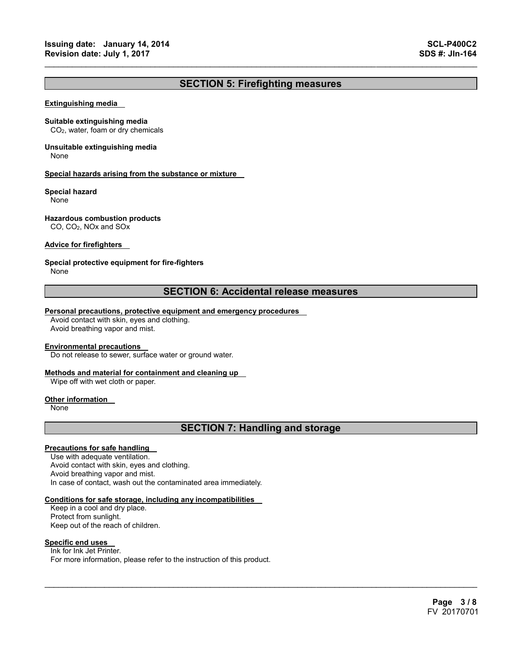## **SECTION 5: Firefighting measures**

 $\mathcal{L}_\mathcal{L} = \{ \mathcal{L}_\mathcal{L} = \{ \mathcal{L}_\mathcal{L} = \{ \mathcal{L}_\mathcal{L} = \{ \mathcal{L}_\mathcal{L} = \{ \mathcal{L}_\mathcal{L} = \{ \mathcal{L}_\mathcal{L} = \{ \mathcal{L}_\mathcal{L} = \{ \mathcal{L}_\mathcal{L} = \{ \mathcal{L}_\mathcal{L} = \{ \mathcal{L}_\mathcal{L} = \{ \mathcal{L}_\mathcal{L} = \{ \mathcal{L}_\mathcal{L} = \{ \mathcal{L}_\mathcal{L} = \{ \mathcal{L}_\mathcal{$ 

#### **Extinguishing media**

#### **Suitable extinguishing media**

CO2, water, foam or dry chemicals

## **Unsuitable extinguishing media**

None

## **Special hazards arising from the substance or mixture**

## **Special hazard**

None

## **Hazardous combustion products**

CO, CO2, NOx and SOx

## **Advice for firefighters**

## **Special protective equipment for fire-fighters**

None

## **SECTION 6: Accidental release measures**

## **Personal precautions, protective equipment and emergency procedures**

Avoid contact with skin, eyes and clothing. Avoid breathing vapor and mist.

#### **Environmental precautions**

Do not release to sewer, surface water or ground water.

## **Methods and material for containment and cleaning up**

Wipe off with wet cloth or paper.

#### **Other information**

None

## **SECTION 7: Handling and storage**

 $\mathcal{L}_\mathcal{L} = \mathcal{L}_\mathcal{L} = \mathcal{L}_\mathcal{L} = \mathcal{L}_\mathcal{L} = \mathcal{L}_\mathcal{L} = \mathcal{L}_\mathcal{L} = \mathcal{L}_\mathcal{L} = \mathcal{L}_\mathcal{L} = \mathcal{L}_\mathcal{L} = \mathcal{L}_\mathcal{L} = \mathcal{L}_\mathcal{L} = \mathcal{L}_\mathcal{L} = \mathcal{L}_\mathcal{L} = \mathcal{L}_\mathcal{L} = \mathcal{L}_\mathcal{L} = \mathcal{L}_\mathcal{L} = \mathcal{L}_\mathcal{L}$ 

## **Precautions for safe handling**

Use with adequate ventilation. Avoid contact with skin, eyes and clothing. Avoid breathing vapor and mist. In case of contact, wash out the contaminated area immediately.

#### **Conditions for safe storage, including any incompatibilities**

Keep in a cool and dry place. Protect from sunlight. Keep out of the reach of children.

## **Specific end uses**

Ink for Ink Jet Printer. For more information, please refer to the instruction of this product.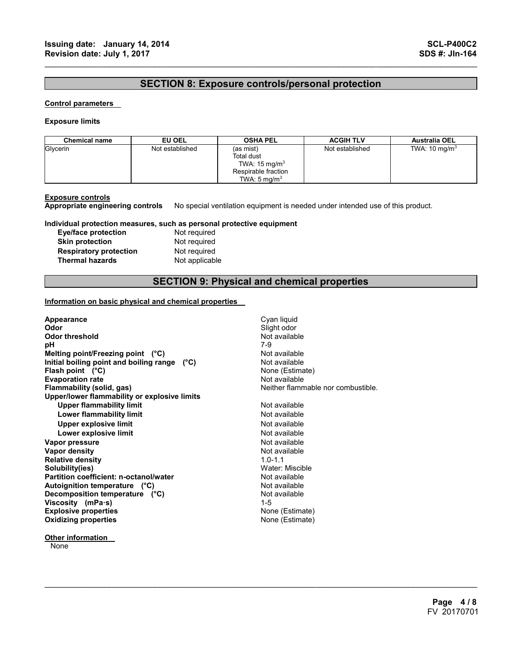## **SECTION 8: Exposure controls/personal protection**

 $\mathcal{L}_\mathcal{L} = \{ \mathcal{L}_\mathcal{L} = \{ \mathcal{L}_\mathcal{L} = \{ \mathcal{L}_\mathcal{L} = \{ \mathcal{L}_\mathcal{L} = \{ \mathcal{L}_\mathcal{L} = \{ \mathcal{L}_\mathcal{L} = \{ \mathcal{L}_\mathcal{L} = \{ \mathcal{L}_\mathcal{L} = \{ \mathcal{L}_\mathcal{L} = \{ \mathcal{L}_\mathcal{L} = \{ \mathcal{L}_\mathcal{L} = \{ \mathcal{L}_\mathcal{L} = \{ \mathcal{L}_\mathcal{L} = \{ \mathcal{L}_\mathcal{$ 

## **Control parameters**

### **Exposure limits**

| <b>Chemical name</b> | EU OEL          | <b>OSHA PEL</b>                                                                                              | <b>ACGIH TLV</b> | <b>Australia OEL</b>     |
|----------------------|-----------------|--------------------------------------------------------------------------------------------------------------|------------------|--------------------------|
| Glycerin             | Not established | (as mist)<br><b>Total dust</b><br>TWA: $15 \text{ mg/m}^3$<br>Respirable fraction<br>TWA: $5 \text{ ma/m}^3$ | Not established  | TWA: $10 \text{ mg/m}^3$ |

**Exposure controls Appropriate engineering controls** No special ventilation equipment is needed under intended use of this product.

## **Individual protection measures, such as personal protective equipment**

| <b>Eye/face protection</b>    |  |
|-------------------------------|--|
| <b>Skin protection</b>        |  |
| <b>Respiratory protection</b> |  |
| <b>Thermal hazards</b>        |  |

Not required **Not required Not required Not applicable** 

## **SECTION 9: Physical and chemical properties**

 $\mathcal{L}_\mathcal{L} = \mathcal{L}_\mathcal{L} = \mathcal{L}_\mathcal{L} = \mathcal{L}_\mathcal{L} = \mathcal{L}_\mathcal{L} = \mathcal{L}_\mathcal{L} = \mathcal{L}_\mathcal{L} = \mathcal{L}_\mathcal{L} = \mathcal{L}_\mathcal{L} = \mathcal{L}_\mathcal{L} = \mathcal{L}_\mathcal{L} = \mathcal{L}_\mathcal{L} = \mathcal{L}_\mathcal{L} = \mathcal{L}_\mathcal{L} = \mathcal{L}_\mathcal{L} = \mathcal{L}_\mathcal{L} = \mathcal{L}_\mathcal{L}$ 

## **Information on basic physical and chemical properties**

| Appearance<br>Odor                           | Cyan liquid<br>Slight odor         |
|----------------------------------------------|------------------------------------|
| <b>Odor threshold</b>                        | Not available                      |
| рH                                           | 7-9                                |
| Melting point/Freezing point $(^{\circ}C)$   | Not available                      |
| Initial boiling point and boiling range (°C) | Not available                      |
| Flash point $(^{\circ}C)$                    | None (Estimate)                    |
| <b>Evaporation rate</b>                      | Not available                      |
| Flammability (solid, gas)                    | Neither flammable nor combustible. |
| Upper/lower flammability or explosive limits |                                    |
| <b>Upper flammability limit</b>              | Not available                      |
| Lower flammability limit                     | Not available                      |
| <b>Upper explosive limit</b>                 | Not available                      |
| Lower explosive limit                        | Not available                      |
| Vapor pressure                               | Not available                      |
| <b>Vapor density</b>                         | Not available                      |
| <b>Relative density</b>                      | $1.0 - 1.1$                        |
| Solubility(ies)                              | Water: Miscible                    |
| Partition coefficient: n-octanol/water       | Not available                      |
| Autoignition temperature (°C)                | Not available                      |
| Decomposition temperature (°C)               | Not available                      |
| Viscosity (mPa $\cdot$ s)                    | $1 - 5$                            |
| <b>Explosive properties</b>                  | None (Estimate)                    |
| <b>Oxidizing properties</b>                  | None (Estimate)                    |
|                                              |                                    |

## **Other information**

**None**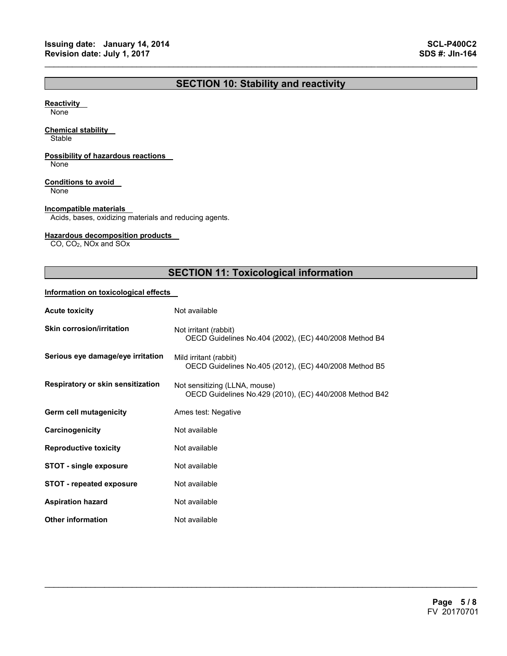## **SECTION 10: Stability and reactivity**

 $\mathcal{L}_\mathcal{L} = \{ \mathcal{L}_\mathcal{L} = \{ \mathcal{L}_\mathcal{L} = \{ \mathcal{L}_\mathcal{L} = \{ \mathcal{L}_\mathcal{L} = \{ \mathcal{L}_\mathcal{L} = \{ \mathcal{L}_\mathcal{L} = \{ \mathcal{L}_\mathcal{L} = \{ \mathcal{L}_\mathcal{L} = \{ \mathcal{L}_\mathcal{L} = \{ \mathcal{L}_\mathcal{L} = \{ \mathcal{L}_\mathcal{L} = \{ \mathcal{L}_\mathcal{L} = \{ \mathcal{L}_\mathcal{L} = \{ \mathcal{L}_\mathcal{$ 

## **Reactivity**

None

## **Chemical stability**

**Stable** 

## **Possibility of hazardous reactions**

None

## **Conditions to avoid**

None

## **Incompatible materials**

Acids, bases, oxidizing materials and reducing agents.

## **Hazardous decomposition products**

CO, CO2, NOx and SOx

## **SECTION 11: Toxicological information**

 $\mathcal{L}_\mathcal{L} = \mathcal{L}_\mathcal{L} = \mathcal{L}_\mathcal{L} = \mathcal{L}_\mathcal{L} = \mathcal{L}_\mathcal{L} = \mathcal{L}_\mathcal{L} = \mathcal{L}_\mathcal{L} = \mathcal{L}_\mathcal{L} = \mathcal{L}_\mathcal{L} = \mathcal{L}_\mathcal{L} = \mathcal{L}_\mathcal{L} = \mathcal{L}_\mathcal{L} = \mathcal{L}_\mathcal{L} = \mathcal{L}_\mathcal{L} = \mathcal{L}_\mathcal{L} = \mathcal{L}_\mathcal{L} = \mathcal{L}_\mathcal{L}$ 

## **Information on toxicological effects**

| <b>Acute toxicity</b>             | Not available                                                                            |  |  |
|-----------------------------------|------------------------------------------------------------------------------------------|--|--|
| <b>Skin corrosion/irritation</b>  | Not irritant (rabbit)<br>OECD Guidelines No.404 (2002), (EC) 440/2008 Method B4          |  |  |
| Serious eye damage/eye irritation | Mild irritant (rabbit)<br>OECD Guidelines No.405 (2012), (EC) 440/2008 Method B5         |  |  |
| Respiratory or skin sensitization | Not sensitizing (LLNA, mouse)<br>OECD Guidelines No.429 (2010), (EC) 440/2008 Method B42 |  |  |
| Germ cell mutagenicity            | Ames test: Negative                                                                      |  |  |
| Carcinogenicity                   | Not available                                                                            |  |  |
| <b>Reproductive toxicity</b>      | Not available                                                                            |  |  |
| <b>STOT - single exposure</b>     | Not available                                                                            |  |  |
| <b>STOT - repeated exposure</b>   | Not available                                                                            |  |  |
| <b>Aspiration hazard</b>          | Not available                                                                            |  |  |
| <b>Other information</b>          | Not available                                                                            |  |  |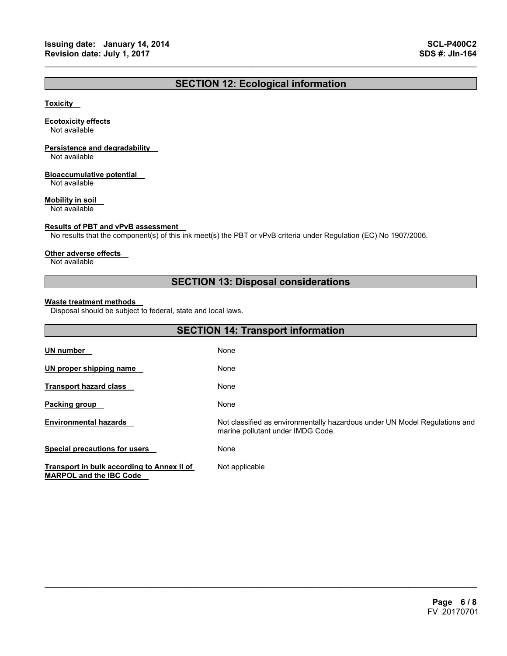## **SECTION 12: Ecological information**

 $\mathcal{L}_\mathcal{L} = \{ \mathcal{L}_\mathcal{L} = \{ \mathcal{L}_\mathcal{L} = \{ \mathcal{L}_\mathcal{L} = \{ \mathcal{L}_\mathcal{L} = \{ \mathcal{L}_\mathcal{L} = \{ \mathcal{L}_\mathcal{L} = \{ \mathcal{L}_\mathcal{L} = \{ \mathcal{L}_\mathcal{L} = \{ \mathcal{L}_\mathcal{L} = \{ \mathcal{L}_\mathcal{L} = \{ \mathcal{L}_\mathcal{L} = \{ \mathcal{L}_\mathcal{L} = \{ \mathcal{L}_\mathcal{L} = \{ \mathcal{L}_\mathcal{$ 

## **Toxicity**

## **Ecotoxicity effects**

Not available

## **Persistence and degradability**

Not available

## **Bioaccumulative potential**

Not available

## **Mobility in soil**

Not available

## **Results of PBT and vPvB assessment**

No results that the component(s) of this ink meet(s) the PBT or vPvB criteria under Regulation (EC) No 1907/2006.

### **Other adverse effects**

Not available

## **SECTION 13: Disposal considerations**

## **Waste treatment methods**

Disposal should be subject to federal, state and local laws.

| <b>SECTION 14: Transport information</b>                                     |                                                                                                                 |  |  |
|------------------------------------------------------------------------------|-----------------------------------------------------------------------------------------------------------------|--|--|
| UN number                                                                    | None                                                                                                            |  |  |
| UN proper shipping name                                                      | None                                                                                                            |  |  |
| <b>Transport hazard class</b>                                                | None                                                                                                            |  |  |
| <b>Packing group</b>                                                         | None                                                                                                            |  |  |
| <b>Environmental hazards</b>                                                 | Not classified as environmentally hazardous under UN Model Regulations and<br>marine pollutant under IMDG Code. |  |  |
| <b>Special precautions for users</b>                                         | None                                                                                                            |  |  |
| Transport in bulk according to Annex II of<br><b>MARPOL and the IBC Code</b> | Not applicable                                                                                                  |  |  |

 $\mathcal{L}_\mathcal{L} = \mathcal{L}_\mathcal{L} = \mathcal{L}_\mathcal{L} = \mathcal{L}_\mathcal{L} = \mathcal{L}_\mathcal{L} = \mathcal{L}_\mathcal{L} = \mathcal{L}_\mathcal{L} = \mathcal{L}_\mathcal{L} = \mathcal{L}_\mathcal{L} = \mathcal{L}_\mathcal{L} = \mathcal{L}_\mathcal{L} = \mathcal{L}_\mathcal{L} = \mathcal{L}_\mathcal{L} = \mathcal{L}_\mathcal{L} = \mathcal{L}_\mathcal{L} = \mathcal{L}_\mathcal{L} = \mathcal{L}_\mathcal{L}$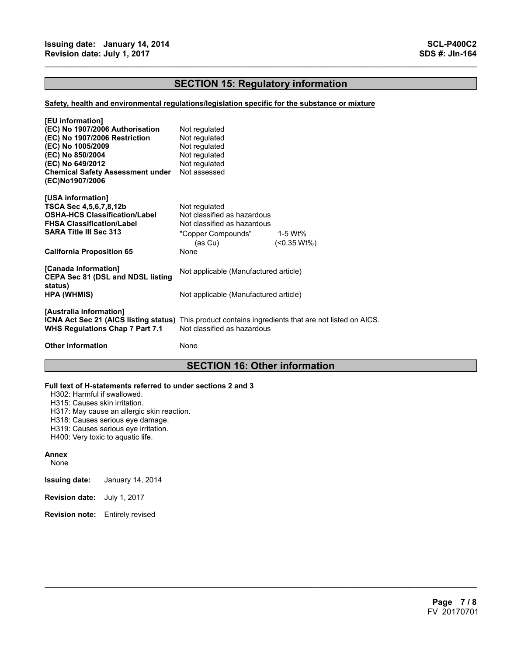## **SECTION 15: Regulatory information**

 $\mathcal{L}_\mathcal{L} = \{ \mathcal{L}_\mathcal{L} = \{ \mathcal{L}_\mathcal{L} = \{ \mathcal{L}_\mathcal{L} = \{ \mathcal{L}_\mathcal{L} = \{ \mathcal{L}_\mathcal{L} = \{ \mathcal{L}_\mathcal{L} = \{ \mathcal{L}_\mathcal{L} = \{ \mathcal{L}_\mathcal{L} = \{ \mathcal{L}_\mathcal{L} = \{ \mathcal{L}_\mathcal{L} = \{ \mathcal{L}_\mathcal{L} = \{ \mathcal{L}_\mathcal{L} = \{ \mathcal{L}_\mathcal{L} = \{ \mathcal{L}_\mathcal{$ 

## **Safety, health and environmental regulations/legislation specific for the substance or mixture**

| [EU information]                                                                                                                                                   |                                       |         |
|--------------------------------------------------------------------------------------------------------------------------------------------------------------------|---------------------------------------|---------|
| (EC) No 1907/2006 Authorisation                                                                                                                                    | Not regulated                         |         |
| (EC) No 1907/2006 Restriction                                                                                                                                      | Not regulated                         |         |
| (EC) No 1005/2009                                                                                                                                                  | Not regulated                         |         |
| (EC) No 850/2004                                                                                                                                                   | Not regulated                         |         |
| (EC) No 649/2012                                                                                                                                                   | Not regulated                         |         |
| <b>Chemical Safety Assessment under</b><br>(EC)No1907/2006                                                                                                         | Not assessed                          |         |
| [USA information]                                                                                                                                                  |                                       |         |
| TSCA Sec 4,5,6,7,8,12b                                                                                                                                             | Not regulated                         |         |
| <b>OSHA-HCS Classification/Label</b>                                                                                                                               | Not classified as hazardous           |         |
| <b>FHSA Classification/Label</b>                                                                                                                                   | Not classified as hazardous           |         |
| <b>SARA Title III Sec 313</b>                                                                                                                                      | "Copper Compounds"                    | 1-5 Wt% |
|                                                                                                                                                                    | (as Cu)                               | (       |
| <b>California Proposition 65</b>                                                                                                                                   | None                                  |         |
| [Canada information]<br><b>CEPA Sec 81 (DSL and NDSL listing</b>                                                                                                   | Not applicable (Manufactured article) |         |
| status)<br><b>HPA (WHMIS)</b>                                                                                                                                      | Not applicable (Manufactured article) |         |
| [Australia information]<br>ICNA Act Sec 21 (AICS listing status) This product contains ingredients that are not listed on AICS.<br>WHS Regulations Chap 7 Part 7.1 | Not classified as hazardous           |         |
| <b>Other information</b>                                                                                                                                           | None                                  |         |
|                                                                                                                                                                    |                                       |         |

## **SECTION 16: Other information**

 $\mathcal{L}_\mathcal{L} = \mathcal{L}_\mathcal{L} = \mathcal{L}_\mathcal{L} = \mathcal{L}_\mathcal{L} = \mathcal{L}_\mathcal{L} = \mathcal{L}_\mathcal{L} = \mathcal{L}_\mathcal{L} = \mathcal{L}_\mathcal{L} = \mathcal{L}_\mathcal{L} = \mathcal{L}_\mathcal{L} = \mathcal{L}_\mathcal{L} = \mathcal{L}_\mathcal{L} = \mathcal{L}_\mathcal{L} = \mathcal{L}_\mathcal{L} = \mathcal{L}_\mathcal{L} = \mathcal{L}_\mathcal{L} = \mathcal{L}_\mathcal{L}$ 

## **Full text of H-statements referred to under sections 2 and 3**

H302: Harmful if swallowed.

H315: Causes skin irritation.

H317: May cause an allergic skin reaction.

H318: Causes serious eye damage.

H319: Causes serious eye irritation.

H400: Very toxic to aquatic life.

#### **Annex**

None

- **Issuing date:** January 14, 2014
- **Revision date:** July 1, 2017
- **Revision note:** Entirely revised